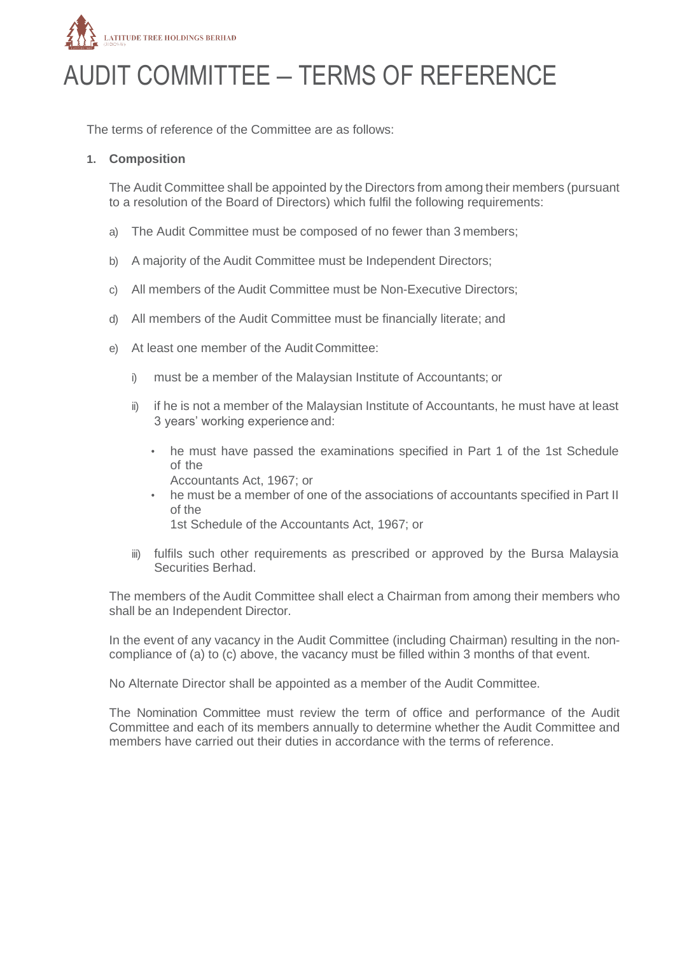

# AUDIT COMMITTEE – TERMS OF REFERENCE

The terms of reference of the Committee are as follows:

#### **1. Composition**

The Audit Committee shall be appointed by the Directors from among their members (pursuant to a resolution of the Board of Directors) which fulfil the following requirements:

- a) The Audit Committee must be composed of no fewer than 3 members;
- b) A majority of the Audit Committee must be Independent Directors;
- c) All members of the Audit Committee must be Non-Executive Directors;
- d) All members of the Audit Committee must be financially literate; and
- e) At least one member of the Audit Committee:
	- i) must be a member of the Malaysian Institute of Accountants; or
	- ii) if he is not a member of the Malaysian Institute of Accountants, he must have at least 3 years' working experience and:
		- he must have passed the examinations specified in Part 1 of the 1st Schedule of the
			- Accountants Act, 1967; or
		- he must be a member of one of the associations of accountants specified in Part II of the

1st Schedule of the Accountants Act, 1967; or

iii) fulfils such other requirements as prescribed or approved by the Bursa Malaysia Securities Berhad.

The members of the Audit Committee shall elect a Chairman from among their members who shall be an Independent Director.

In the event of any vacancy in the Audit Committee (including Chairman) resulting in the noncompliance of (a) to (c) above, the vacancy must be filled within 3 months of that event.

No Alternate Director shall be appointed as a member of the Audit Committee.

The Nomination Committee must review the term of office and performance of the Audit Committee and each of its members annually to determine whether the Audit Committee and members have carried out their duties in accordance with the terms of reference.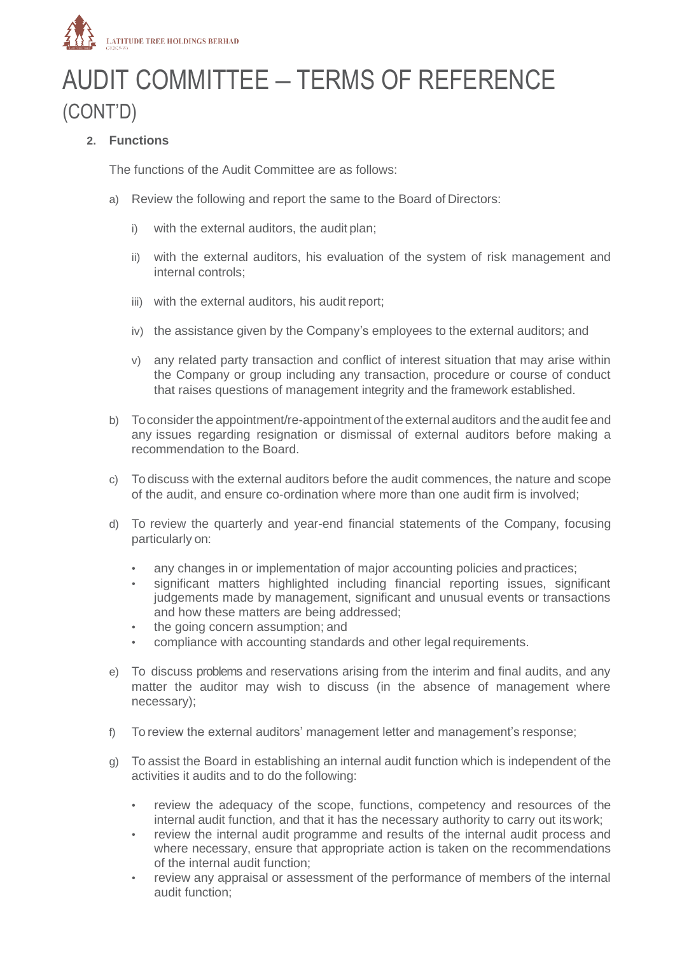

## AUDIT COMMITTEE – TERMS OF REFERENCE (CONT'D)

### **2. Functions**

The functions of the Audit Committee are as follows:

- a) Review the following and report the same to the Board of Directors:
	- i) with the external auditors, the audit plan;
	- ii) with the external auditors, his evaluation of the system of risk management and internal controls;
	- iii) with the external auditors, his audit report;
	- iv) the assistance given by the Company's employees to the external auditors; and
	- v) any related party transaction and conflict of interest situation that may arise within the Company or group including any transaction, procedure or course of conduct that raises questions of management integrity and the framework established.
- b) Toconsider the appointment/re-appointment of the external auditors and the audit fee and any issues regarding resignation or dismissal of external auditors before making a recommendation to the Board.
- c) To discuss with the external auditors before the audit commences, the nature and scope of the audit, and ensure co-ordination where more than one audit firm is involved;
- d) To review the quarterly and year-end financial statements of the Company, focusing particularly on:
	- any changes in or implementation of major accounting policies and practices;
	- significant matters highlighted including financial reporting issues, significant judgements made by management, significant and unusual events or transactions and how these matters are being addressed;
	- the going concern assumption; and
	- compliance with accounting standards and other legal requirements.
- e) To discuss problems and reservations arising from the interim and final audits, and any matter the auditor may wish to discuss (in the absence of management where necessary);
- f) To review the external auditors' management letter and management's response;
- g) To assist the Board in establishing an internal audit function which is independent of the activities it audits and to do the following:
	- review the adequacy of the scope, functions, competency and resources of the internal audit function, and that it has the necessary authority to carry out itswork;
	- review the internal audit programme and results of the internal audit process and where necessary, ensure that appropriate action is taken on the recommendations of the internal audit function;
	- review any appraisal or assessment of the performance of members of the internal audit function;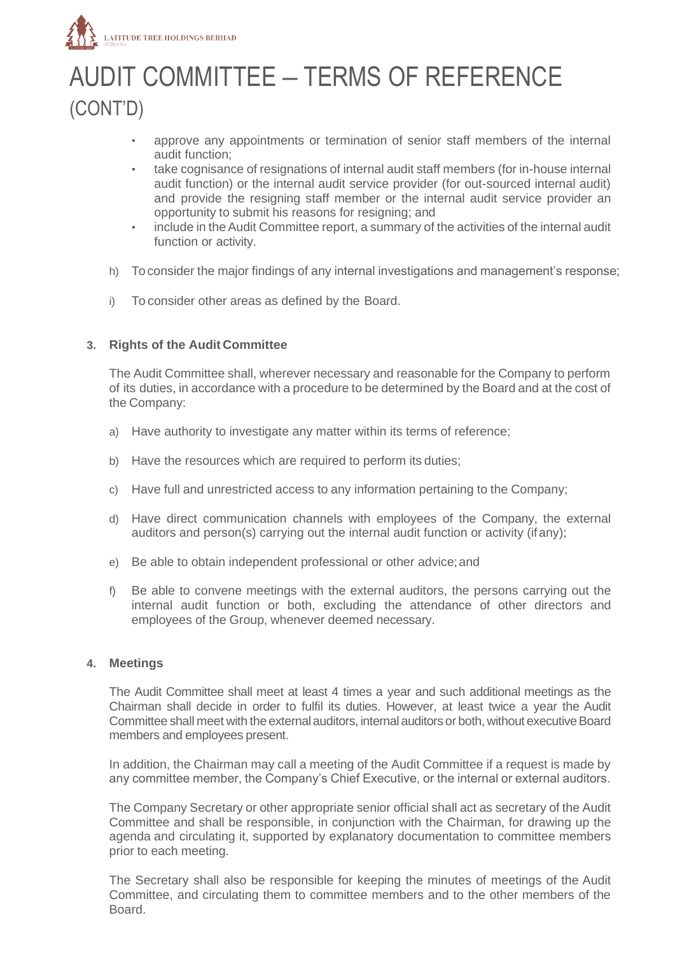

# AUDIT COMMITTEE – TERMS OF REFERENCE (CONT'D)

- approve any appointments or termination of senior staff members of the internal audit function;
- take cognisance of resignations of internal audit staff members (for in-house internal audit function) or the internal audit service provider (for out-sourced internal audit) and provide the resigning staff member or the internal audit service provider an opportunity to submit his reasons for resigning; and
- include in the Audit Committee report, a summary of the activities of the internal audit function or activity.
- h) To consider the major findings of any internal investigations and management's response;
- i) To consider other areas as defined by the Board.

### **3. Rights of the Audit Committee**

The Audit Committee shall, wherever necessary and reasonable for the Company to perform of its duties, in accordance with a procedure to be determined by the Board and at the cost of the Company:

- a) Have authority to investigate any matter within its terms of reference;
- b) Have the resources which are required to perform its duties;
- c) Have full and unrestricted access to any information pertaining to the Company;
- d) Have direct communication channels with employees of the Company, the external auditors and person(s) carrying out the internal audit function or activity (ifany);
- e) Be able to obtain independent professional or other advice;and
- f) Be able to convene meetings with the external auditors, the persons carrying out the internal audit function or both, excluding the attendance of other directors and employees of the Group, whenever deemed necessary.

### **4. Meetings**

The Audit Committee shall meet at least 4 times a year and such additional meetings as the Chairman shall decide in order to fulfil its duties. However, at least twice a year the Audit Committee shall meet with the external auditors, internal auditors or both, without executive Board members and employees present.

In addition, the Chairman may call a meeting of the Audit Committee if a request is made by any committee member, the Company's Chief Executive, or the internal or external auditors.

The Company Secretary or other appropriate senior official shall act as secretary of the Audit Committee and shall be responsible, in conjunction with the Chairman, for drawing up the agenda and circulating it, supported by explanatory documentation to committee members prior to each meeting.

The Secretary shall also be responsible for keeping the minutes of meetings of the Audit Committee, and circulating them to committee members and to the other members of the Board.